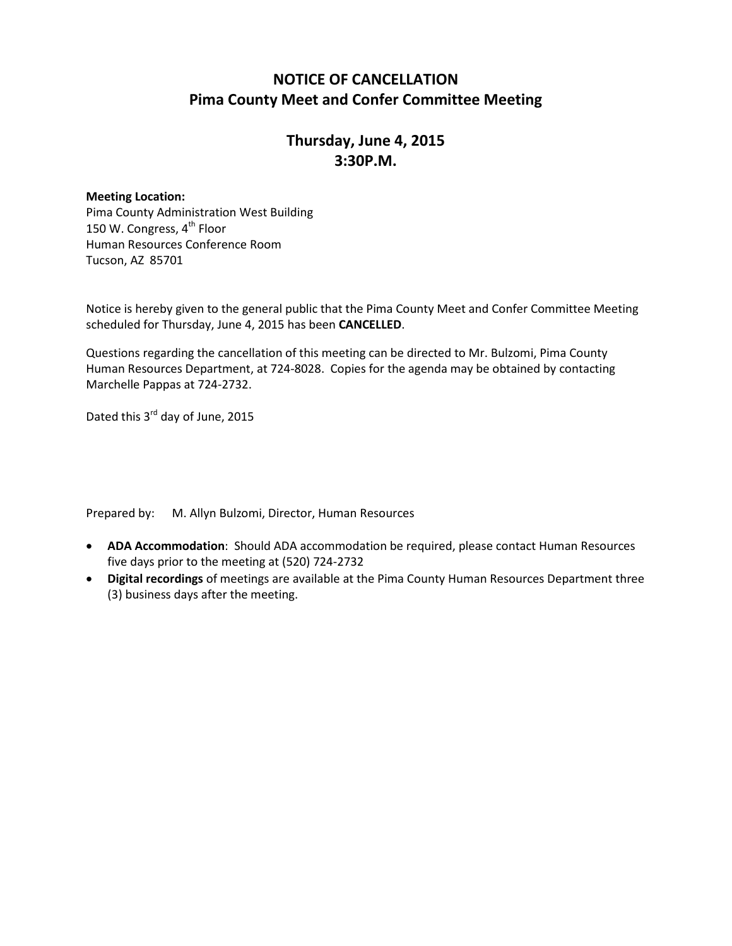### **NOTICE OF CANCELLATION Pima County Meet and Confer Committee Meeting**

## **Thursday, June 4, 2015 3:30P.M.**

#### **Meeting Location:**

Pima County Administration West Building 150 W. Congress, 4<sup>th</sup> Floor Human Resources Conference Room Tucson, AZ 85701

Notice is hereby given to the general public that the Pima County Meet and Confer Committee Meeting scheduled for Thursday, June 4, 2015 has been **CANCELLED**.

Questions regarding the cancellation of this meeting can be directed to Mr. Bulzomi, Pima County Human Resources Department, at 724-8028. Copies for the agenda may be obtained by contacting Marchelle Pappas at 724-2732.

Dated this 3<sup>rd</sup> day of June, 2015

Prepared by: M. Allyn Bulzomi, Director, Human Resources

- **ADA Accommodation**: Should ADA accommodation be required, please contact Human Resources five days prior to the meeting at (520) 724-2732
- **Digital recordings** of meetings are available at the Pima County Human Resources Department three (3) business days after the meeting.